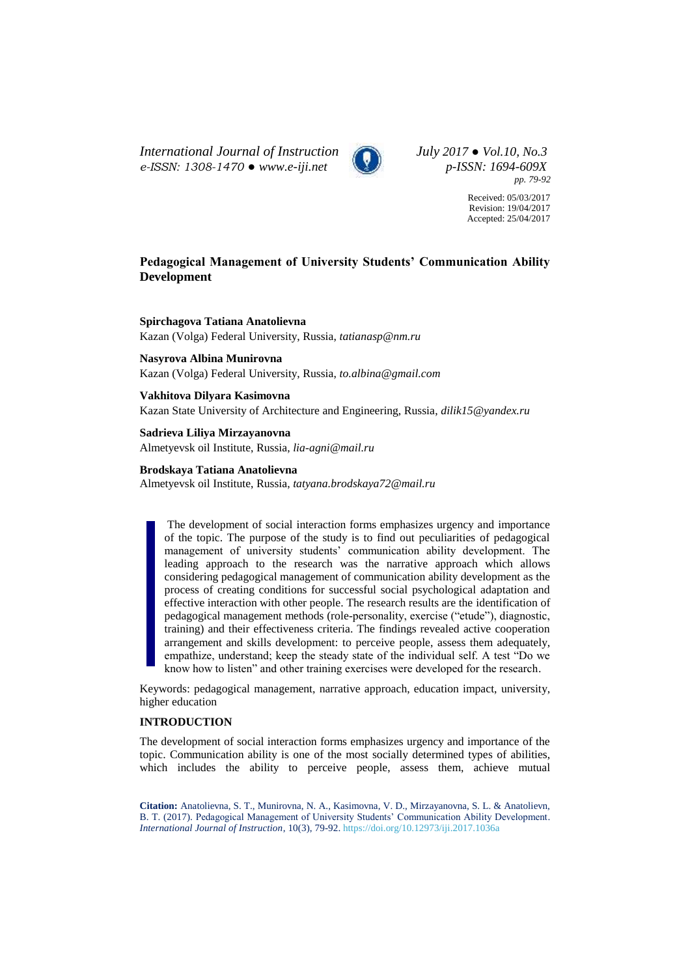*International Journal of Instruction July 2017 ● Vol.10, No.3 e-ISSN: 1308-1470 ● [www.e-iji.net](http://www.e-iji.net/) p-ISSN: 1694-609X*



*pp. 79-92*

Received: 05/03/2017 Revision: 19/04/2017 Accepted: 25/04/2017

# **Pedagogical Management of University Students' Communication Ability Development**

**Spirchagova Tatiana Anatolievna** Kazan (Volga) Federal University, Russia, *[tatianasp@nm.ru](mailto:tatianasp@nm.ru)*

**Nasyrova Albina Munirovna** Kazan (Volga) Federal University, Russia, *[to.albina@gmail.com](mailto:to.albina@gmail.com)*

# **Vakhitova Dilyara Kasimovna**

Kazan State University of Architecture and Engineering, Russia, *[dilik15@yandex.ru](mailto:dilik15@yandex.ru)*

# **Sadrieva Liliya Mirzayanovna**

Almetyevsk oil Institute, Russia, *lia-agni@mail.ru*

# **Brodskaya Tatiana Anatolievna**

Almetyevsk oil Institute, Russia, *tatyana.brodskaya72@mail.ru*

The development of social interaction forms emphasizes urgency and importance of the topic. The purpose of the study is to find out peculiarities of pedagogical management of university students' communication ability development. The leading approach to the research was the narrative approach which allows considering pedagogical management of communication ability development as the process of creating conditions for successful social psychological adaptation and effective interaction with other people. The research results are the identification of pedagogical management methods (role-personality, exercise ("etude"), diagnostic, training) and their effectiveness criteria. The findings revealed active cooperation arrangement and skills development: to perceive people, assess them adequately, empathize, understand; keep the steady state of the individual self. A test "Do we know how to listen" and other training exercises were developed for the research.

Keywords: pedagogical management, narrative approach, education impact, university, higher education

# **INTRODUCTION**

The development of social interaction forms emphasizes urgency and importance of the topic. Communication ability is one of the most socially determined types of abilities, which includes the ability to perceive people, assess them, achieve mutual

**Citation:** Anatolievna, S. T., Munirovna, N. A., Kasimovna, V. D., Mirzayanovna, S. L. & Anatolievn, B. T. (2017). Pedagogical Management of University Students' Communication Ability Development. *International Journal of Instruction*, 10(3), 79-92. <https://doi.org/10.12973/iji.2017.1036a>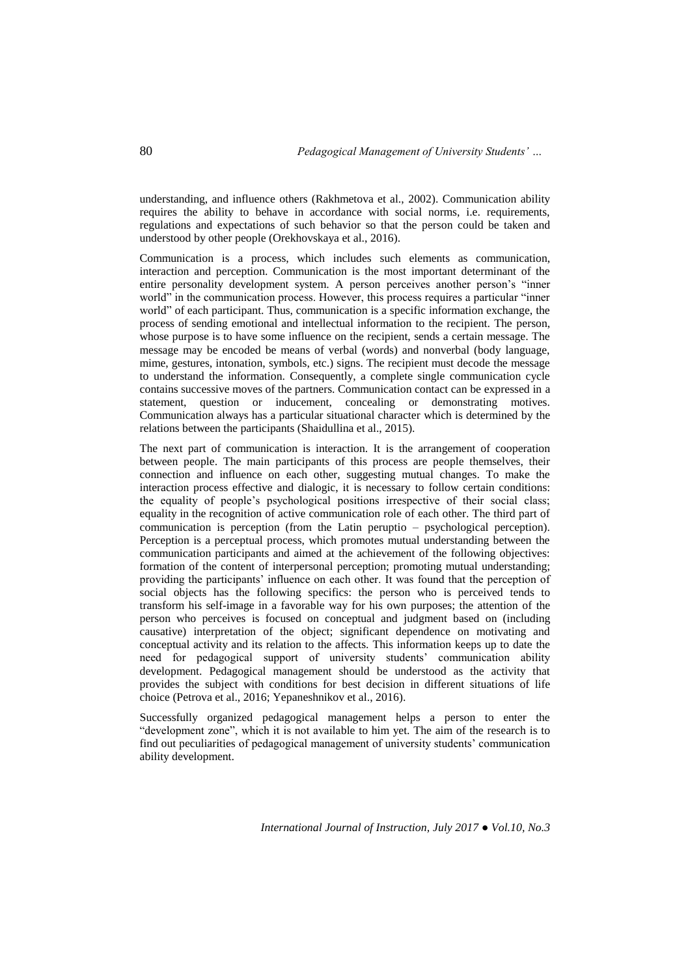understanding, and influence others (Rakhmetova et al., 2002). Communication ability requires the ability to behave in accordance with social norms, i.e. requirements, regulations and expectations of such behavior so that the person could be taken and understood by other people (Orekhovskaya et al., 2016).

Communication is a process, which includes such elements as communication, interaction and perception. Communication is the most important determinant of the entire personality development system. A person perceives another person's "inner world" in the communication process. However, this process requires a particular "inner world" of each participant. Thus, communication is a specific information exchange, the process of sending emotional and intellectual information to the recipient. The person, whose purpose is to have some influence on the recipient, sends a certain message. The message may be encoded be means of verbal (words) and nonverbal (body language, mime, gestures, intonation, symbols, etc.) signs. The recipient must decode the message to understand the information. Consequently, a complete single communication cycle contains successive moves of the partners. Communication contact can be expressed in a statement, question or inducement, concealing or demonstrating motives. Communication always has a particular situational character which is determined by the relations between the participants (Shaidullina et al., 2015).

The next part of communication is interaction. It is the arrangement of cooperation between people. The main participants of this process are people themselves, their connection and influence on each other, suggesting mutual changes. To make the interaction process effective and dialogic, it is necessary to follow certain conditions: the equality of people's psychological positions irrespective of their social class; equality in the recognition of active communication role of each other. The third part of communication is perception (from the Latin peruptio – psychological perception). Perception is a perceptual process, which promotes mutual understanding between the communication participants and aimed at the achievement of the following objectives: formation of the content of interpersonal perception; promoting mutual understanding; providing the participants' influence on each other. It was found that the perception of social objects has the following specifics: the person who is perceived tends to transform his self-image in a favorable way for his own purposes; the attention of the person who perceives is focused on conceptual and judgment based on (including causative) interpretation of the object; significant dependence on motivating and conceptual activity and its relation to the affects. This information keeps up to date the need for pedagogical support of university students' communication ability development. Pedagogical management should be understood as the activity that provides the subject with conditions for best decision in different situations of life choice (Petrova et al., 2016; Yepaneshnikov et al., 2016).

Successfully organized pedagogical management helps a person to enter the "development zone", which it is not available to him yet. The aim of the research is to find out peculiarities of pedagogical management of university students' communication ability development.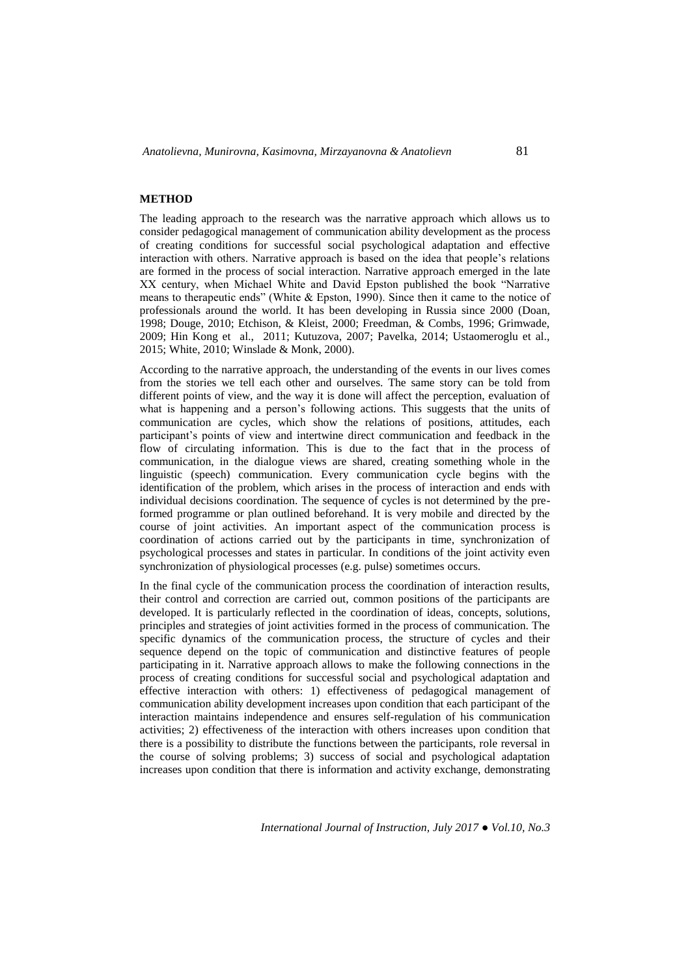# **METHOD**

The leading approach to the research was the narrative approach which allows us to consider pedagogical management of communication ability development as the process of creating conditions for successful social psychological adaptation and effective interaction with others. Narrative approach is based on the idea that people's relations are formed in the process of social interaction. Narrative approach emerged in the late XX century, when Michael White and David Epston published the book "Narrative means to therapeutic ends" (White & Epston, 1990). Since then it came to the notice of professionals around the world. It has been developing in Russia since 2000 (Doan, 1998; Douge, 2010; Etchison, & Kleist, 2000; Freedman, & Combs, 1996; Grimwade, 2009; Hin Kong et al., 2011; Kutuzova, 2007; Pavelka, 2014; Ustaomeroglu et al., 2015; White, 2010; Winslade & Monk, 2000).

According to the narrative approach, the understanding of the events in our lives comes from the stories we tell each other and ourselves. The same story can be told from different points of view, and the way it is done will affect the perception, evaluation of what is happening and a person's following actions. This suggests that the units of communication are cycles, which show the relations of positions, attitudes, each participant's points of view and intertwine direct communication and feedback in the flow of circulating information. This is due to the fact that in the process of communication, in the dialogue views are shared, creating something whole in the linguistic (speech) communication. Every communication cycle begins with the identification of the problem, which arises in the process of interaction and ends with individual decisions coordination. The sequence of cycles is not determined by the preformed programme or plan outlined beforehand. It is very mobile and directed by the course of joint activities. An important aspect of the communication process is coordination of actions carried out by the participants in time, synchronization of psychological processes and states in particular. In conditions of the joint activity even synchronization of physiological processes (e.g. pulse) sometimes occurs.

In the final cycle of the communication process the coordination of interaction results, their control and correction are carried out, common positions of the participants are developed. It is particularly reflected in the coordination of ideas, concepts, solutions, principles and strategies of joint activities formed in the process of communication. The specific dynamics of the communication process, the structure of cycles and their sequence depend on the topic of communication and distinctive features of people participating in it. Narrative approach allows to make the following connections in the process of creating conditions for successful social and psychological adaptation and effective interaction with others: 1) effectiveness of pedagogical management of communication ability development increases upon condition that each participant of the interaction maintains independence and ensures self-regulation of his communication activities; 2) effectiveness of the interaction with others increases upon condition that there is a possibility to distribute the functions between the participants, role reversal in the course of solving problems; 3) success of social and psychological adaptation increases upon condition that there is information and activity exchange, demonstrating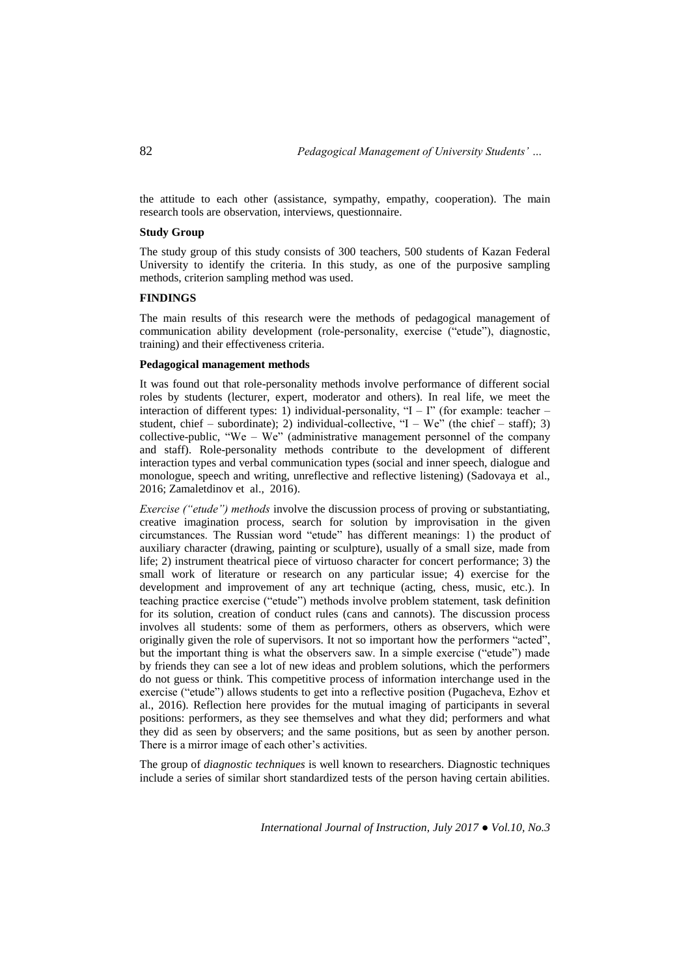the attitude to each other (assistance, sympathy, empathy, cooperation). The main research tools are observation, interviews, questionnaire.

### **Study Group**

The study group of this study consists of 300 teachers, 500 students of Kazan Federal University to identify the criteria. In this study, as one of the purposive sampling methods, criterion sampling method was used.

# **FINDINGS**

The main results of this research were the methods of pedagogical management of communication ability development (role-personality, exercise ("etude"), diagnostic, training) and their effectiveness criteria.

#### **Pedagogical management methods**

It was found out that role-personality methods involve performance of different social roles by students (lecturer, expert, moderator and others). In real life, we meet the interaction of different types: 1) individual-personality, "I – I" (for example: teacher – student, chief – subordinate); 2) individual-collective, "I – We" (the chief – staff); 3) collective-public, "We – We" (administrative management personnel of the company and staff). Role-personality methods contribute to the development of different interaction types and verbal communication types (social and inner speech, dialogue and monologue, speech and writing, unreflective and reflective listening) (Sadovaya et al., 2016; Zamaletdinov et al., 2016).

*Exercise ("etude") methods* involve the discussion process of proving or substantiating, creative imagination process, search for solution by improvisation in the given circumstances. The Russian word "etude" has different meanings: 1) the product of auxiliary character (drawing, painting or sculpture), usually of a small size, made from life; 2) instrument theatrical piece of virtuoso character for concert performance; 3) the small work of literature or research on any particular issue; 4) exercise for the development and improvement of any art technique (acting, chess, music, etc.). In teaching practice exercise ("etude") methods involve problem statement, task definition for its solution, creation of conduct rules (cans and cannots). The discussion process involves all students: some of them as performers, others as observers, which were originally given the role of supervisors. It not so important how the performers "acted", but the important thing is what the observers saw. In a simple exercise ("etude") made by friends they can see a lot of new ideas and problem solutions, which the performers do not guess or think. This competitive process of information interchange used in the exercise ("etude") allows students to get into a reflective position (Pugacheva, Ezhov et al., 2016). Reflection here provides for the mutual imaging of participants in several positions: performers, as they see themselves and what they did; performers and what they did as seen by observers; and the same positions, but as seen by another person. There is a mirror image of each other's activities.

The group of *diagnostic techniques* is well known to researchers. Diagnostic techniques include a series of similar short standardized tests of the person having certain abilities.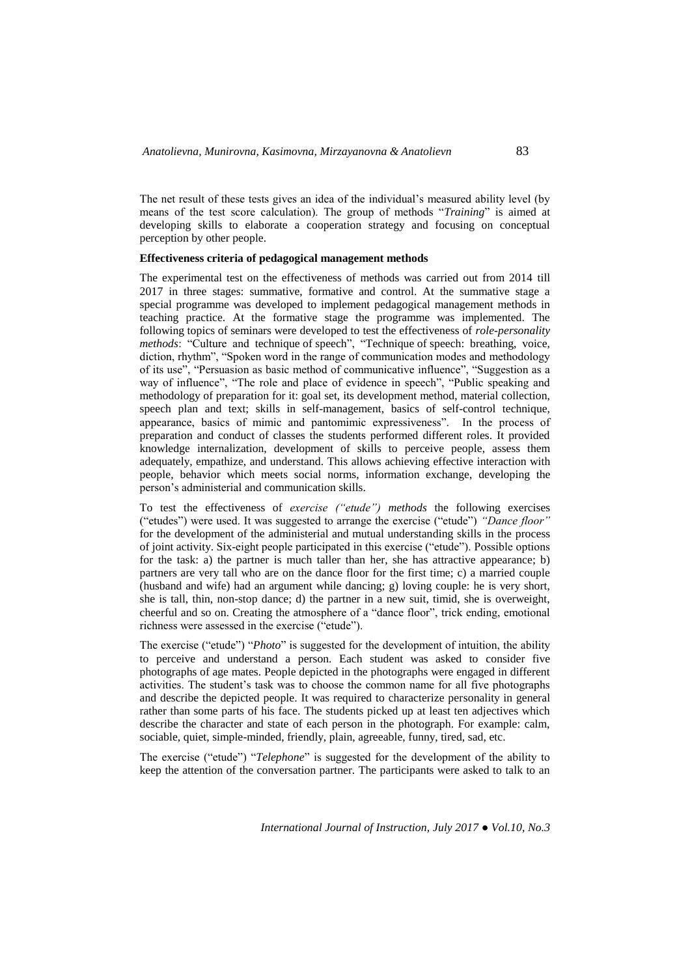The net result of these tests gives an idea of the individual's measured ability level (by means of the test score calculation). The group of methods "*Training*" is aimed at developing skills to elaborate a cooperation strategy and focusing on conceptual perception by other people.

### **Effectiveness criteria of pedagogical management methods**

The experimental test on the effectiveness of methods was carried out from 2014 till 2017 in three stages: summative, formative and control. At the summative stage a special programme was developed to implement pedagogical management methods in teaching practice. At the formative stage the programme was implemented. The following topics of seminars were developed to test the effectiveness of *role-personality methods*: "Culture and technique of speech", "Technique of speech: breathing, voice, diction, rhythm", "Spoken word in the range of communication modes and methodology of its use", "Persuasion as basic method of communicative influence", "Suggestion as a way of influence", "The role and place of evidence in speech", "Public speaking and methodology of preparation for it: goal set, its development method, material collection, speech plan and text; skills in self-management, basics of self-control technique, appearance, basics of mimic and pantomimic expressiveness". In the process of preparation and conduct of classes the students performed different roles. It provided knowledge internalization, development of skills to perceive people, assess them adequately, empathize, and understand. This allows achieving effective interaction with people, behavior which meets social norms, information exchange, developing the person's administerial and communication skills.

To test the effectiveness of *exercise ("etude") methods* the following exercises ("etudes") were used. It was suggested to arrange the exercise ("etude") *"Dance floor"* for the development of the administerial and mutual understanding skills in the process of joint activity. Six-eight people participated in this exercise ("etude"). Possible options for the task: a) the partner is much taller than her, she has attractive appearance; b) partners are very tall who are on the dance floor for the first time; c) a married couple (husband and wife) had an argument while dancing; g) loving couple: he is very short, she is tall, thin, non-stop dance; d) the partner in a new suit, timid, she is overweight, cheerful and so on. Creating the atmosphere of a "dance floor", trick ending, emotional richness were assessed in the exercise ("etude").

The exercise ("etude") "*Photo*" is suggested for the development of intuition, the ability to perceive and understand a person. Each student was asked to consider five photographs of age mates. People depicted in the photographs were engaged in different activities. The student's task was to choose the common name for all five photographs and describe the depicted people. It was required to characterize personality in general rather than some parts of his face. The students picked up at least ten adjectives which describe the character and state of each person in the photograph. For example: calm, sociable, quiet, simple-minded, friendly, plain, agreeable, funny, tired, sad, etc.

The exercise ("etude") "*Telephone*" is suggested for the development of the ability to keep the attention of the conversation partner. The participants were asked to talk to an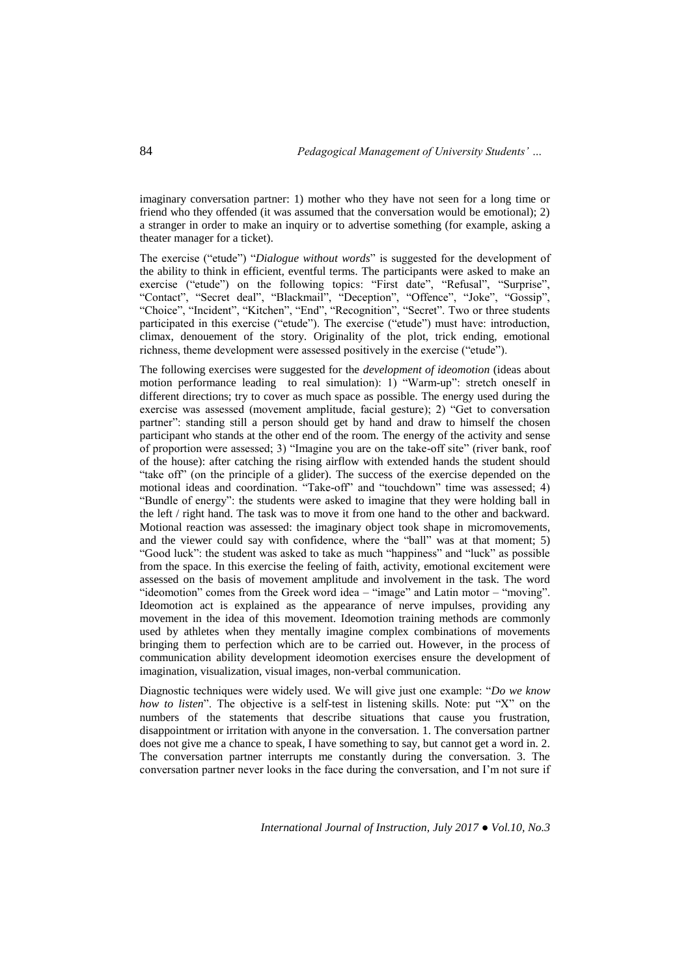imaginary conversation partner: 1) mother who they have not seen for a long time or friend who they offended (it was assumed that the conversation would be emotional); 2) a stranger in order to make an inquiry or to advertise something (for example, asking a theater manager for a ticket).

The exercise ("etude") "*Dialogue without words*" is suggested for the development of the ability to think in efficient, eventful terms. The participants were asked to make an exercise ("etude") on the following topics: "First date", "Refusal", "Surprise", "Contact", "Secret deal", "Blackmail", "Deception", "Offence", "Joke", "Gossip", "Choice", "Incident", "Kitchen", "End", "Recognition", "Secret". Two or three students participated in this exercise ("etude"). The exercise ("etude") must have: introduction, climax, denouement of the story. Originality of the plot, trick ending, emotional richness, theme development were assessed positively in the exercise ("etude").

The following exercises were suggested for the *development of ideomotion* (ideas about motion performance leading to real simulation): 1) "Warm-up": stretch oneself in different directions; try to cover as much space as possible. The energy used during the exercise was assessed (movement amplitude, facial gesture); 2) "Get to conversation partner": standing still a person should get by hand and draw to himself the chosen participant who stands at the other end of the room. The energy of the activity and sense of proportion were assessed; 3) "Imagine you are on the take-off site" (river bank, roof of the house): after catching the rising airflow with extended hands the student should "take off" (on the principle of a glider). The success of the exercise depended on the motional ideas and coordination. "Take-off" and "touchdown" time was assessed; 4) "Bundle of energy": the students were asked to imagine that they were holding ball in the left / right hand. The task was to move it from one hand to the other and backward. Motional reaction was assessed: the imaginary object took shape in micromovements, and the viewer could say with confidence, where the "ball" was at that moment; 5) "Good luck": the student was asked to take as much "happiness" and "luck" as possible from the space. In this exercise the feeling of faith, activity, emotional excitement were assessed on the basis of movement amplitude and involvement in the task. The word "ideomotion" comes from the Greek word idea – "image" and Latin motor – "moving". Ideomotion act is explained as the appearance of nerve impulses, providing any movement in the idea of this movement. Ideomotion training methods are commonly used by athletes when they mentally imagine complex combinations of movements bringing them to perfection which are to be carried out. However, in the process of communication ability development ideomotion exercises ensure the development of imagination, visualization, visual images, non-verbal communication.

Diagnostic techniques were widely used. We will give just one example: "*Do we know how to listen*". The objective is a self-test in listening skills. Note: put "X" on the numbers of the statements that describe situations that cause you frustration, disappointment or irritation with anyone in the conversation. 1. The conversation partner does not give me a chance to speak, I have something to say, but cannot get a word in. 2. The conversation partner interrupts me constantly during the conversation. 3. The conversation partner never looks in the face during the conversation, and I'm not sure if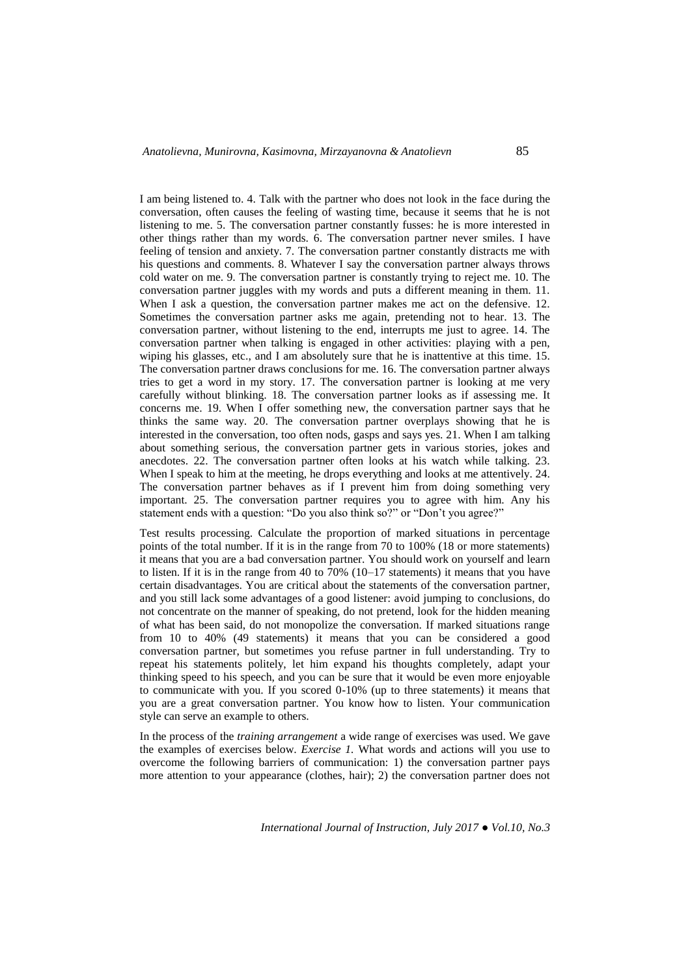I am being listened to. 4. Talk with the partner who does not look in the face during the conversation, often causes the feeling of wasting time, because it seems that he is not listening to me. 5. The conversation partner constantly fusses: he is more interested in other things rather than my words. 6. The conversation partner never smiles. I have feeling of tension and anxiety. 7. The conversation partner constantly distracts me with his questions and comments. 8. Whatever I say the conversation partner always throws cold water on me. 9. The conversation partner is constantly trying to reject me. 10. The conversation partner juggles with my words and puts a different meaning in them. 11. When I ask a question, the conversation partner makes me act on the defensive. 12. Sometimes the conversation partner asks me again, pretending not to hear. 13. The conversation partner, without listening to the end, interrupts me just to agree. 14. The conversation partner when talking is engaged in other activities: playing with a pen, wiping his glasses, etc., and I am absolutely sure that he is inattentive at this time. 15. The conversation partner draws conclusions for me. 16. The conversation partner always tries to get a word in my story. 17. The conversation partner is looking at me very carefully without blinking. 18. The conversation partner looks as if assessing me. It concerns me. 19. When I offer something new, the conversation partner says that he thinks the same way. 20. The conversation partner overplays showing that he is interested in the conversation, too often nods, gasps and says yes. 21. When I am talking about something serious, the conversation partner gets in various stories, jokes and anecdotes. 22. The conversation partner often looks at his watch while talking. 23. When I speak to him at the meeting, he drops everything and looks at me attentively. 24. The conversation partner behaves as if I prevent him from doing something very important. 25. The conversation partner requires you to agree with him. Any his statement ends with a question: "Do you also think so?" or "Don't you agree?"

Test results processing. Calculate the proportion of marked situations in percentage points of the total number. If it is in the range from 70 to 100% (18 or more statements) it means that you are a bad conversation partner. You should work on yourself and learn to listen. If it is in the range from 40 to  $70\%$  (10–17 statements) it means that you have certain disadvantages. You are critical about the statements of the conversation partner, and you still lack some advantages of a good listener: avoid jumping to conclusions, do not concentrate on the manner of speaking, do not pretend, look for the hidden meaning of what has been said, do not monopolize the conversation. If marked situations range from 10 to 40% (49 statements) it means that you can be considered a good conversation partner, but sometimes you refuse partner in full understanding. Try to repeat his statements politely, let him expand his thoughts completely, adapt your thinking speed to his speech, and you can be sure that it would be even more enjoyable to communicate with you. If you scored 0-10% (up to three statements) it means that you are a great conversation partner. You know how to listen. Your communication style can serve an example to others.

In the process of the *training arrangement* a wide range of exercises was used. We gave the examples of exercises below. *Exercise 1.* What words and actions will you use to overcome the following barriers of communication: 1) the conversation partner pays more attention to your appearance (clothes, hair); 2) the conversation partner does not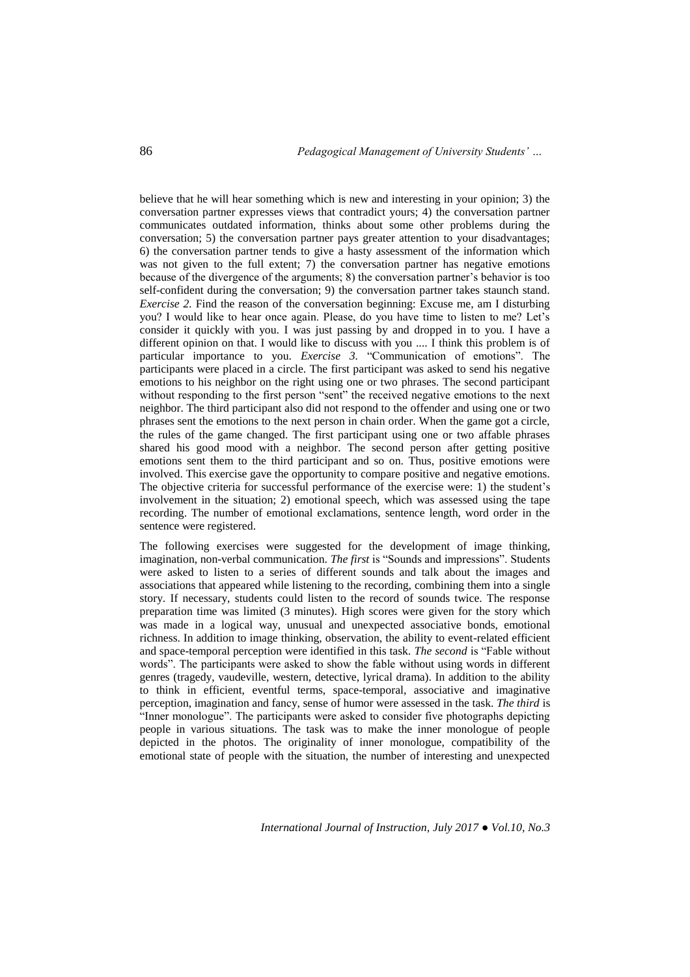believe that he will hear something which is new and interesting in your opinion; 3) the conversation partner expresses views that contradict yours; 4) the conversation partner communicates outdated information, thinks about some other problems during the conversation; 5) the conversation partner pays greater attention to your disadvantages; 6) the conversation partner tends to give a hasty assessment of the information which was not given to the full extent; 7) the conversation partner has negative emotions because of the divergence of the arguments; 8) the conversation partner's behavior is too self-confident during the conversation; 9) the conversation partner takes staunch stand. *Exercise 2.* Find the reason of the conversation beginning: Excuse me, am I disturbing you? I would like to hear once again. Please, do you have time to listen to me? Let's consider it quickly with you. I was just passing by and dropped in to you. I have a different opinion on that. I would like to discuss with you .... I think this problem is of particular importance to you. *Exercise 3.* "Communication of emotions". The participants were placed in a circle. The first participant was asked to send his negative emotions to his neighbor on the right using one or two phrases. The second participant without responding to the first person "sent" the received negative emotions to the next neighbor. The third participant also did not respond to the offender and using one or two phrases sent the emotions to the next person in chain order. When the game got a circle, the rules of the game changed. The first participant using one or two affable phrases shared his good mood with a neighbor. The second person after getting positive emotions sent them to the third participant and so on. Thus, positive emotions were involved. This exercise gave the opportunity to compare positive and negative emotions. The objective criteria for successful performance of the exercise were: 1) the student's involvement in the situation; 2) emotional speech, which was assessed using the tape recording. The number of emotional exclamations, sentence length, word order in the sentence were registered.

The following exercises were suggested for the development of image thinking, imagination, non-verbal communication. *The first* is "Sounds and impressions". Students were asked to listen to a series of different sounds and talk about the images and associations that appeared while listening to the recording, combining them into a single story. If necessary, students could listen to the record of sounds twice. The response preparation time was limited (3 minutes). High scores were given for the story which was made in a logical way, unusual and unexpected associative bonds, emotional richness. In addition to image thinking, observation, the ability to event-related efficient and space-temporal perception were identified in this task. *The second* is "Fable without words". The participants were asked to show the fable without using words in different genres (tragedy, vaudeville, western, detective, lyrical drama). In addition to the ability to think in efficient, eventful terms, space-temporal, associative and imaginative perception, imagination and fanсy, sense of humor were assessed in the task. *The third* is "Inner monologue". The participants were asked to consider five photographs depicting people in various situations. The task was to make the inner monologue of people depicted in the photos. The originality of inner monologue, compatibility of the emotional state of people with the situation, the number of interesting and unexpected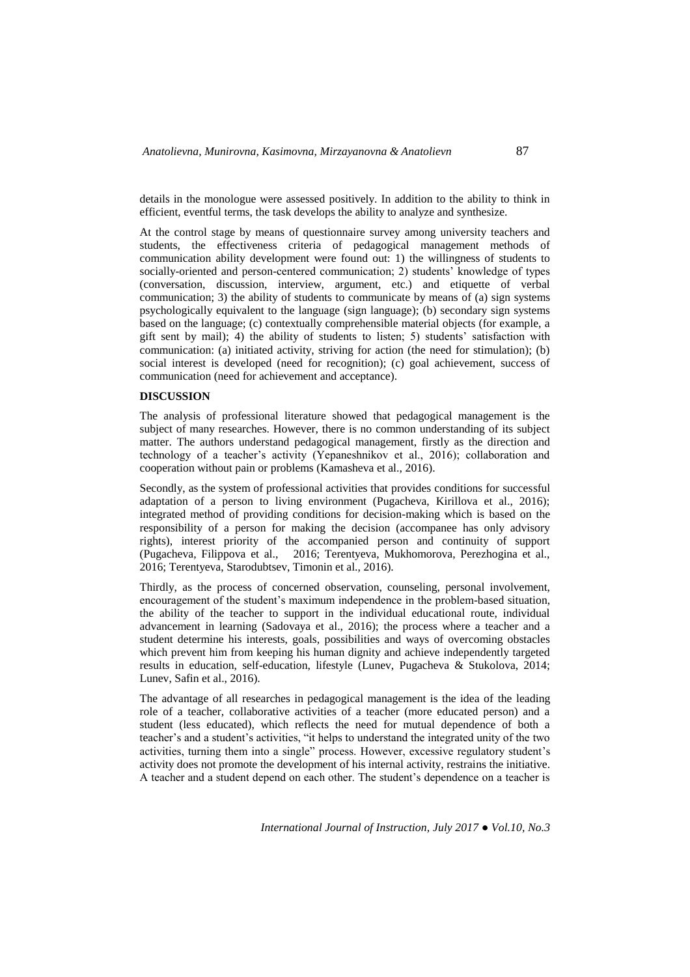details in the monologue were assessed positively. In addition to the ability to think in efficient, eventful terms, the task develops the ability to analyze and synthesize.

At the control stage by means of questionnaire survey among university teachers and students, the effectiveness criteria of pedagogical management methods of communication ability development were found out: 1) the willingness of students to socially-oriented and person-centered communication; 2) students' knowledge of types (conversation, discussion, interview, argument, etc.) and etiquette of verbal communication; 3) the ability of students to communicate by means of (a) sign systems psychologically equivalent to the language (sign language); (b) secondary sign systems based on the language; (c) contextually comprehensible material objects (for example, a gift sent by mail); 4) the ability of students to listen; 5) students' satisfaction with communication: (a) initiated activity, striving for action (the need for stimulation); (b) social interest is developed (need for recognition); (c) goal achievement, success of communication (need for achievement and acceptance).

#### **DISCUSSION**

The analysis of professional literature showed that pedagogical management is the subject of many researches. However, there is no common understanding of its subject matter. The authors understand pedagogical management, firstly as the direction and technology of a teacher's activity (Yepaneshnikov et al., 2016); collaboration and cooperation without pain or problems (Kamasheva et al., 2016).

Secondly, as the system of professional activities that provides conditions for successful adaptation of a person to living environment (Pugacheva, Kirillova et al., 2016); integrated method of providing conditions for decision-making which is based on the responsibility of a person for making the decision (accompanee has only advisory rights), interest priority of the accompanied person and continuity of support (Pugacheva, Filippova et al., 2016; Terentyeva, Mukhomorova, Perezhogina et al., 2016; Terentyeva, Starodubtsev, Timonin et al., 2016).

Thirdly, as the process of concerned observation, counseling, personal involvement, encouragement of the student's maximum independence in the problem-based situation, the ability of the teacher to support in the individual educational route, individual advancement in learning (Sadovaya et al., 2016); the process where a teacher and a student determine his interests, goals, possibilities and ways of overcoming obstacles which prevent him from keeping his human dignity and achieve independently targeted results in education, self-education, lifestyle (Lunev, Pugacheva & Stukolova, 2014; Lunev, Safin et al., 2016).

The advantage of all researches in pedagogical management is the idea of the leading role of a teacher, collaborative activities of a teacher (more educated person) and a student (less educated), which reflects the need for mutual dependence of both a teacher's and a student's activities, "it helps to understand the integrated unity of the two activities, turning them into a single" process. However, excessive regulatory student's activity does not promote the development of his internal activity, restrains the initiative. A teacher and a student depend on each other. The student's dependence on a teacher is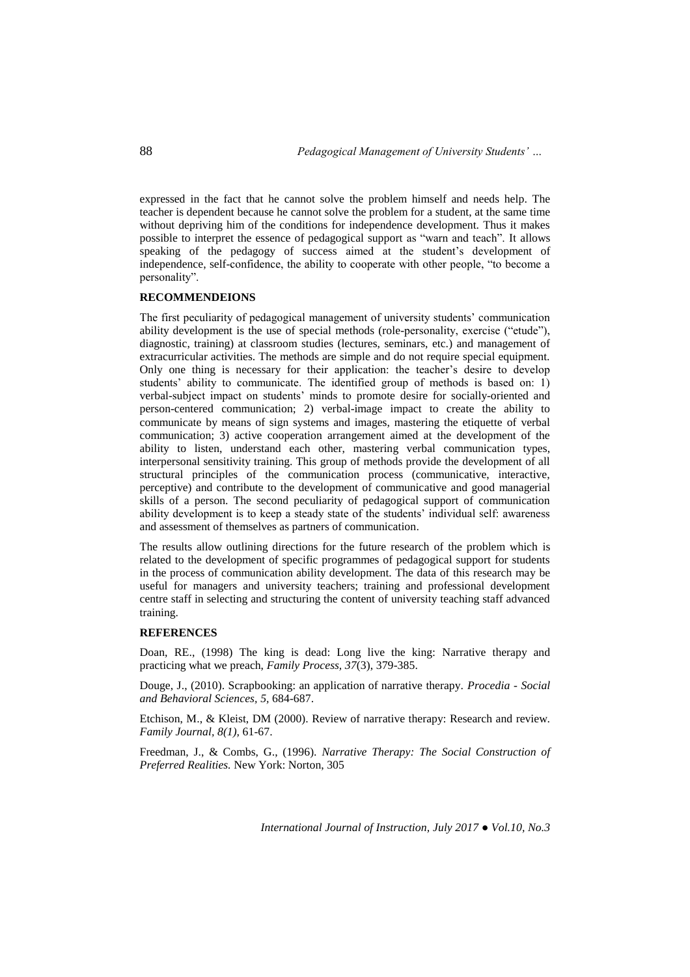expressed in the fact that he cannot solve the problem himself and needs help. The teacher is dependent because he cannot solve the problem for a student, at the same time without depriving him of the conditions for independence development. Thus it makes possible to interpret the essence of pedagogical support as "warn and teach". It allows speaking of the pedagogy of success aimed at the student's development of independence, self-confidence, the ability to cooperate with other people, "to become a personality".

# **RECOMMENDEIONS**

The first peculiarity of pedagogical management of university students' communication ability development is the use of special methods (role-personality, exercise ("etude"), diagnostic, training) at classroom studies (lectures, seminars, etc.) and management of extracurricular activities. The methods are simple and do not require special equipment. Only one thing is necessary for their application: the teacher's desire to develop students' ability to communicate. The identified group of methods is based on: 1) verbal-subject impact on students' minds to promote desire for socially-oriented and person-centered communication; 2) verbal-image impact to create the ability to communicate by means of sign systems and images, mastering the etiquette of verbal communication; 3) active cooperation arrangement aimed at the development of the ability to listen, understand each other, mastering verbal communication types, interpersonal sensitivity training. This group of methods provide the development of all structural principles of the communication process (communicative, interactive, perceptive) and contribute to the development of communicative and good managerial skills of a person. The second peculiarity of pedagogical support of communication ability development is to keep a steady state of the students' individual self: awareness and assessment of themselves as partners of communication.

The results allow outlining directions for the future research of the problem which is related to the development of specific programmes of pedagogical support for students in the process of communication ability development. The data of this research may be useful for managers and university teachers; training and professional development centre staff in selecting and structuring the content of university teaching staff advanced training.

# **REFERENCES**

Doan, RE., (1998) The king is dead: Long live the king: Narrative therapy and practicing what we preach, *Family Process, 37*(3), 379-385.

Douge, J., (2010). Scrapbooking: an application of narrative therapy. *Procedia - Social and Behavioral Sciences, 5,* 684-687.

Etchison, M., & Kleist, DM (2000). Review of narrative therapy: Research and review. *Family Journal, 8(1),* 61-67.

Freedman, J., & Combs, G., (1996). *Narrative Therapy: The Social Construction of Preferred Realities.* New York: Norton, 305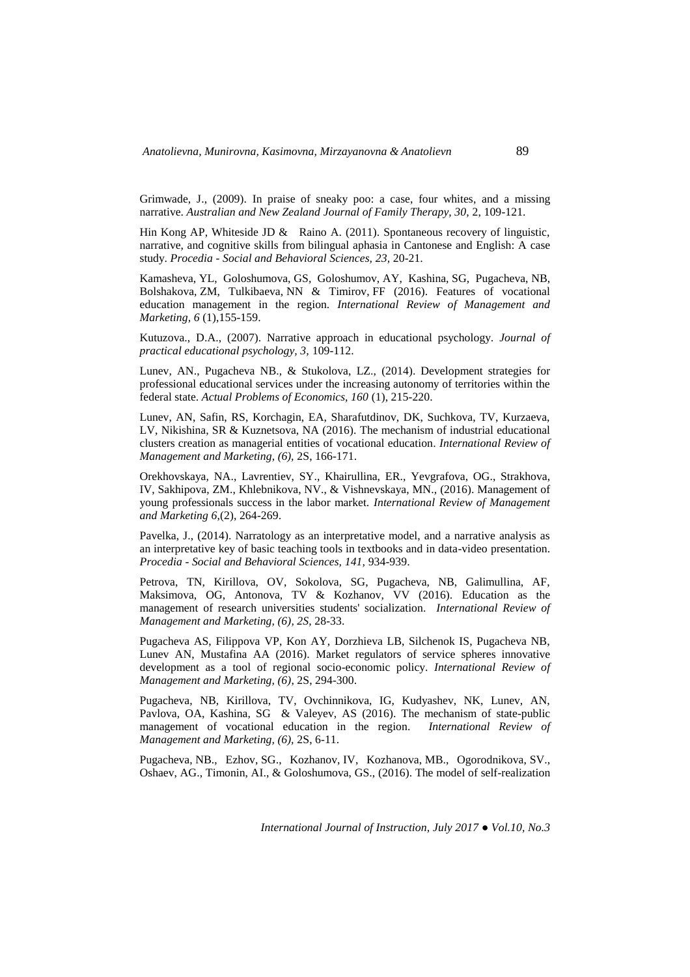Grimwade, J., (2009). In praise of sneaky poo: a case, four whites, and a missing narrative. *Australian and New Zealand Journal of Family Therapy, 30,* 2, 109-121.

Hin Kong AP, Whiteside JD & Raino A. (2011). Spontaneous recovery of linguistic, narrative, and cognitive skills from bilingual aphasia in Cantonese and English: A case study. *Procedia - Social and Behavioral Sciences, 23,* 20-21.

Kamasheva, YL, Goloshumova, GS, Goloshumov, AY, Kashina, SG, Pugacheva, NB, Bolshakova, ZM, Tulkibaeva, NN & Timirov, FF (2016). Features of vocational education management in the region. *International Review of Management and Marketing, 6* (1),155-159.

Kutuzova., D.A., (2007). Narrative approach in educational psychology. *Journal of practical educational psychology, 3,* 109-112.

Lunev, AN., Pugacheva NB., & Stukolova, LZ., (2014). Development strategies for professional educational services under the increasing autonomy of territories within the federal state. *Actual Problems of Economics, 160* (1), 215-220.

Lunev, AN, Safin, RS, Korchagin, EA, Sharafutdinov, DK, Suchkova, TV, Kurzaeva, LV, Nikishina, SR & Kuznetsova, NA (2016). [The mechanism of industrial educational](http://econjournals.com/index.php/irmm/article/view/2009)  [clusters creation as managerial entities of vocational education.](http://econjournals.com/index.php/irmm/article/view/2009) *International Review of Management and Marketing, (6),* 2S, 166-171.

Orekhovskaya, NA., Lavrentiev, SY., Khairullina, ER., Yevgrafova, OG., Strakhova, IV, Sakhipova, ZM., Khlebnikova, NV., & Vishnevskaya, MN., (2016). Management of young professionals success in the labor market. *International Review of Management and Marketing 6*,(2), 264-269.

Pavelka, J., (2014). Narratology as an interpretative model, and a narrative analysis as an interpretative key of basic teaching tools in textbooks and in data-video presentation. *Procedia - Social and Behavioral Sciences, 141,* 934-939.

Petrova, TN, Kirillova, OV, Sokolova, SG, Pugacheva, NB, Galimullina, AF, Maksimova, OG, Antonova, TV & Kozhanov, VV (2016). [Education as the](http://econjournals.com/index.php/irmm/article/view/1980)  [management of research universities students' socialization.](http://econjournals.com/index.php/irmm/article/view/1980) *International Review of Management and Marketing, (6), 2S,* 28-33.

Pugacheva AS, Filippova VP, Kon AY, Dorzhieva LB, Silchenok IS, Pugacheva NB, Lunev AN, Mustafina AA (2016). Market regulators of service spheres innovative development as a tool of regional socio-economic policy. *International Review of Management and Marketing, (6)*, 2S, 294-300.

Pugacheva, NB, Kirillova, TV, Ovchinnikova, IG, Kudyashev, NK, Lunev, AN, Pavlova, OA, Kashina, SG & Valeyev, AS (2016). [The mechanism of state-public](http://econjournals.com/index.php/irmm/article/view/1977)  [management of vocational education in the region.](http://econjournals.com/index.php/irmm/article/view/1977) *International Review of Management and Marketing, (6),* 2S, 6-11.

Pugacheva, NB., Ezhov, SG., Kozhanov, IV, Kozhanova, MB., Ogorodnikova, SV., Oshaev, AG., Timonin, AI., & Goloshumova, GS., (2016). The model of self-realization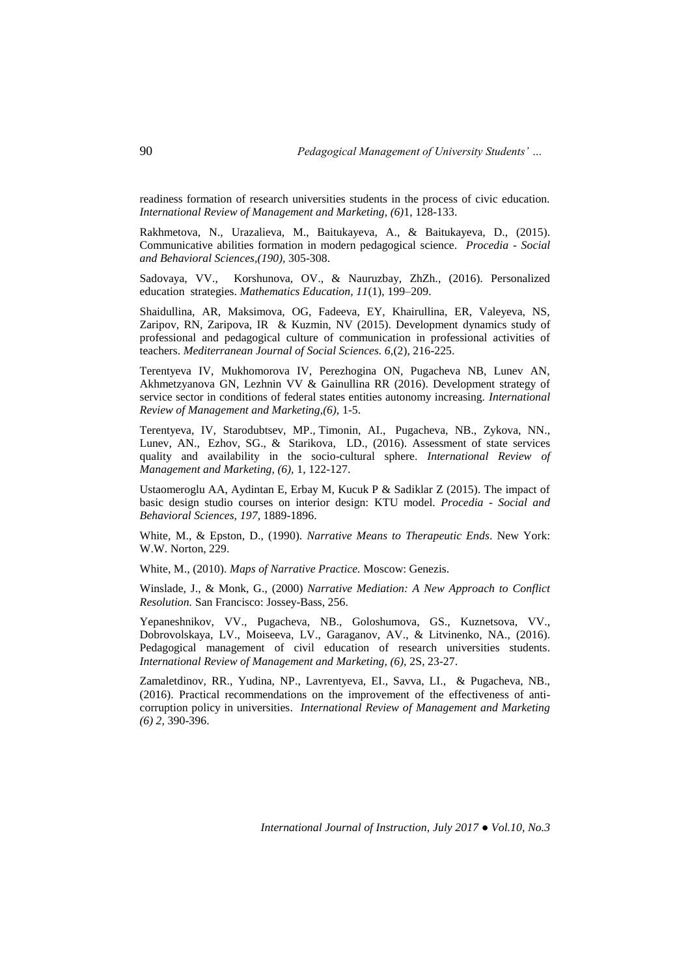readiness formation of research universities students in the process of civic education. *International Review of Management and Marketing, (6)*1, 128-133.

Rakhmetova, N., Urazalieva, M., Baitukayeva, A., & Baitukayeva, D., (2015). Communicative abilities formation in modern pedagogical science*. Procedia - Social and Behavioral Sciences,(190),* 305-308.

Sadovaya, VV., Korshunova, OV., & Nauruzbay, ZhZh., (2016). Personalized education strategies. *Mathematics Education, 11*(1), 199–209.

Shaidullina, AR, Maksimova, OG, Fadeeva, EY, Khairullina, ER, Valeyeva, NS, Zaripov, RN, Zaripova, IR & Kuzmin, NV (2015). Development dynamics study of professional and pedagogical culture of communication in professional activities of teachers. *Mediterranean Journal of Social Sciences. 6,*(2), 216-225.

Terentyeva IV, Mukhomorova IV, Perezhogina ON, Pugacheva NB, Lunev AN, Akhmetzyanova GN, Lezhnin VV & Gainullina RR (2016). Development strategy of service sector in conditions of federal states entities autonomy increasing. *International Review of Management and Marketing,(6),* 1-5.

[Terentyeva, IV,](http://www.scopus.com/authid/detail.uri?authorId=57073894300&eid=2-s2.0-84955278010) [Starodubtsev, MP.](http://www.scopus.com/authid/detail.uri?authorId=57073485600&eid=2-s2.0-84955278010), [Timonin, AI.](http://www.scopus.com/authid/detail.uri?authorId=57073143800&eid=2-s2.0-84955278010), [Pugacheva, NB.](http://www.scopus.com/authid/detail.uri?authorId=57073609300&eid=2-s2.0-84955278010), [Zykova, NN.](http://www.scopus.com/authid/detail.uri?authorId=57073440600&eid=2-s2.0-84955278010), [Lunev, AN.,](http://www.scopus.com/authid/detail.uri?authorId=57073094500&eid=2-s2.0-84955278010) [Ezhov, SG.](http://www.scopus.com/authid/detail.uri?authorId=57073690300&eid=2-s2.0-84955278010), & [Starikova, LD.](http://www.scopus.com/authid/detail.uri?authorId=57073885300&eid=2-s2.0-84955278010), (2016). Assessment of state services quality and availability in the socio-cultural sphere. *International Review of Management and Marketing, (6),* 1, 122-127.

Ustaomeroglu AA, Aydintan E, Erbay M, Kucuk P & Sadiklar Z (2015). The impact of basic design studio courses on interior design: KTU model. *Procedia - Social and Behavioral Sciences, 197,* 1889-1896.

White, M., & Epston, D., (1990). *Narrative Means to Therapeutic Ends*. New York: W.W. Norton, 229.

White, M., (2010). *Maps of Narrative Practice.* Moscow: Genezis.

Winslade, J., & Monk, G., (2000) *Narrative Mediation: A New Approach to Conflict Resolution.* San Francisco: Jossey-Bass, 256.

Yepaneshnikov, VV., Pugacheva, NB., Goloshumova, GS., Kuznetsova, VV., Dobrovolskaya, LV., Moiseeva, LV., Garaganov, AV., & Litvinenko, NA., (2016). [Pedagogical management of civil education of research universities students.](http://econjournals.com/index.php/irmm/article/view/1988) *International Review of Management and Marketing, (6),* 2S, 23-27.

Zamaletdinov, RR., Yudina, NP., Lavrentyeva, EI., Savva, LI., & Pugacheva, NB., (2016). Practical recommendations on the [improvement of the effectiveness of anti](http://econjournals.com/index.php/irmm/article/view/2258)[corruption policy in universities.](http://econjournals.com/index.php/irmm/article/view/2258) *International Review of Management and Marketing (6) 2,* 390-396.

*International Journal of Instruction, July 2017 ● Vol.10, No.3*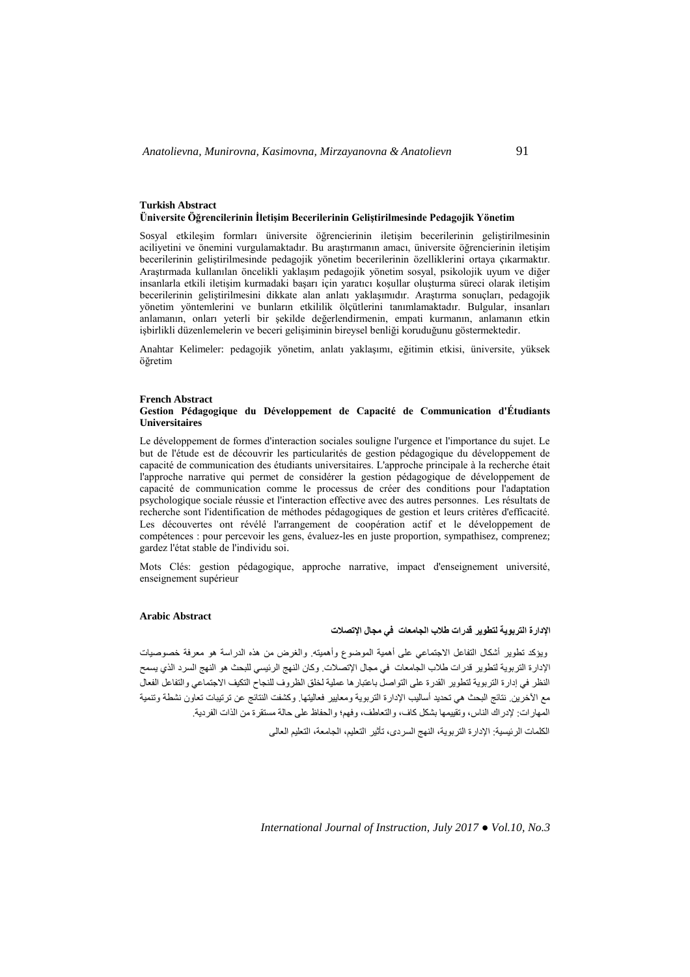#### **Turkish Abstract Üniversite Öğrencilerinin İletişim Becerilerinin Geliştirilmesinde Pedagojik Yönetim**

Sosyal etkileşim formları üniversite öğrencierinin iletişim becerilerinin geliştirilmesinin aciliyetini ve önemini vurgulamaktadır. Bu araştırmanın amacı, üniversite öğrencierinin iletişim becerilerinin geliştirilmesinde pedagojik yönetim becerilerinin özelliklerini ortaya çıkarmaktır. Araştırmada kullanılan öncelikli yaklaşım pedagojik yönetim sosyal, psikolojik uyum ve diğer insanlarla etkili iletişim kurmadaki başarı için yaratıcı koşullar oluşturma süreci olarak iletişim becerilerinin geliştirilmesini dikkate alan anlatı yaklaşımıdır. Araştırma sonuçları, pedagojik yönetim yöntemlerini ve bunların etkililik ölçütlerini tanımlamaktadır. Bulgular, insanları anlamanın, onları yeterli bir şekilde değerlendirmenin, empati kurmanın, anlamanın etkin işbirlikli düzenlemelerin ve beceri gelişiminin bireysel benliği koruduğunu göstermektedir.

Anahtar Kelimeler: pedagojik yönetim, anlatı yaklaşımı, eğitimin etkisi, üniversite, yüksek öğretim

#### **French Abstract Gestion Pédagogique du Développement de Capacité de Communication d'Étudiants Universitaires**

Le développement de formes d'interaction sociales souligne l'urgence et l'importance du sujet. Le but de l'étude est de découvrir les particularités de gestion pédagogique du développement de capacité de communication des étudiants universitaires. L'approche principale à la recherche était l'approche narrative qui permet de considérer la gestion pédagogique de développement de capacité de communication comme le processus de créer des conditions pour l'adaptation psychologique sociale réussie et l'interaction effective avec des autres personnes. Les résultats de recherche sont l'identification de méthodes pédagogiques de gestion et leurs critères d'efficacité. Les découvertes ont révélé l'arrangement de coopération actif et le développement de compétences : pour percevoir les gens, évaluez-les en juste proportion, sympathisez, comprenez; gardez l'état stable de l'individu soi.

Mots Clés: gestion pédagogique, approche narrative, impact d'enseignement université, enseignement supérieur

### **Arabic Abstract**

# **اإلدارة التربوية لتطوير قدرات طالب الجامعات في مجال اإلتصالت**

ويؤكد تطوير أشكال التفاعل االجتماعي على أهمية الموضوع وأهميته. والغرض من هذه الدراسة هو معرفة خصوصيات اإلدارة التربوية لتطوير قدرات طالب الجامعات في مجال اإلتصالت. وكان النهج الرئيسي للبحث هو النهج السرد الذي يسمح النظر في إدارة التربوية لتطوير القدرة على التواصل باعتبارها عملية لخلق الظروف للنجاح التكيف االجتماعي والتفاعل الفعال مع اآلخرين. نتائج البحث هي تحديد أساليب اإلدارة التربوية ومعايير فعاليتها. وكشفت النتائج عن ترتيبات تعاون نشطة وتنمية المهارات: إلدراك الناس، وتقييمها بشكل كاف، والتعاطف، وفهم؛ والحفاظ على حالة مستقرة من الذات الفردية.

الكلمات الرئيسية: اإلدارة التربوية، النهج السردى، تأثير التعليم، الجامعة، التعليم العالى

*International Journal of Instruction, July 2017 ● Vol.10, No.3*